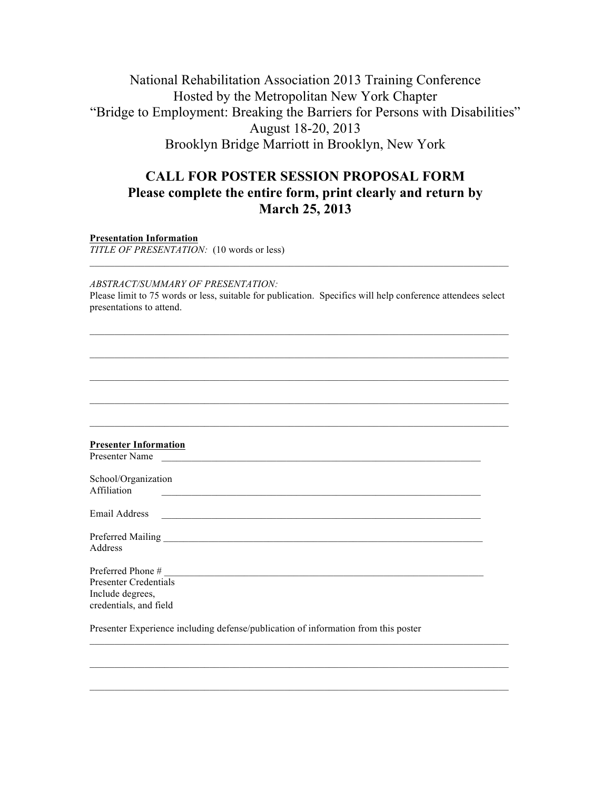# National Rehabilitation Association 2013 Training Conference Hosted by the Metropolitan New York Chapter "Bridge to Employment: Breaking the Barriers for Persons with Disabilities" August 18-20, 2013 Brooklyn Bridge Marriott in Brooklyn, New York

## **CALL FOR POSTER SESSION PROPOSAL FORM Please complete the entire form, print clearly and return by March 25, 2013**

**Presentation Information**

*TITLE OF PRESENTATION:* (10 words or less)

*ABSTRACT/SUMMARY OF PRESENTATION:* Please limit to 75 words or less, suitable for publication. Specifics will help conference attendees select presentations to attend.

 $\mathcal{L}_\mathcal{L} = \{ \mathcal{L}_\mathcal{L} = \{ \mathcal{L}_\mathcal{L} = \{ \mathcal{L}_\mathcal{L} = \{ \mathcal{L}_\mathcal{L} = \{ \mathcal{L}_\mathcal{L} = \{ \mathcal{L}_\mathcal{L} = \{ \mathcal{L}_\mathcal{L} = \{ \mathcal{L}_\mathcal{L} = \{ \mathcal{L}_\mathcal{L} = \{ \mathcal{L}_\mathcal{L} = \{ \mathcal{L}_\mathcal{L} = \{ \mathcal{L}_\mathcal{L} = \{ \mathcal{L}_\mathcal{L} = \{ \mathcal{L}_\mathcal{$ 

| <b>Presenter Information</b><br>Presenter Name                                                                                         |  |
|----------------------------------------------------------------------------------------------------------------------------------------|--|
| School/Organization<br>Affiliation<br><u> 1980 - Johann Stoff, amerikansk politiker (d. 1980)</u>                                      |  |
| Email Address<br><u> 1989 - Johann Harry Harry Harry Harry Harry Harry Harry Harry Harry Harry Harry Harry Harry Harry Harry Harry</u> |  |
| Address                                                                                                                                |  |
| Preferred Phone #                                                                                                                      |  |
| <b>Presenter Credentials</b>                                                                                                           |  |
| Include degrees,<br>credentials, and field                                                                                             |  |
| Presenter Experience including defense/publication of information from this poster                                                     |  |

 $\mathcal{L}_\mathcal{L} = \{ \mathcal{L}_\mathcal{L} = \{ \mathcal{L}_\mathcal{L} = \{ \mathcal{L}_\mathcal{L} = \{ \mathcal{L}_\mathcal{L} = \{ \mathcal{L}_\mathcal{L} = \{ \mathcal{L}_\mathcal{L} = \{ \mathcal{L}_\mathcal{L} = \{ \mathcal{L}_\mathcal{L} = \{ \mathcal{L}_\mathcal{L} = \{ \mathcal{L}_\mathcal{L} = \{ \mathcal{L}_\mathcal{L} = \{ \mathcal{L}_\mathcal{L} = \{ \mathcal{L}_\mathcal{L} = \{ \mathcal{L}_\mathcal{$